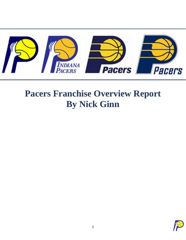

# **Pacers Franchise Overview Report By Nick Ginn**

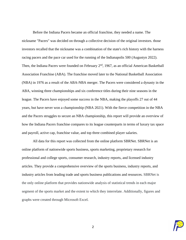Before the Indiana Pacers became an official franchise, they needed a name. The nickname "Pacers" was decided on through a collective decision of the original investors. those investors recalled that the nickname was a combination of the state's rich history with the [harness](https://en.wikipedia.org/wiki/Harness_racing)  [racing](https://en.wikipedia.org/wiki/Harness_racing) pacers and the [pace car](https://en.wikipedia.org/wiki/Pace_car) used for the running of the [Indianapolis 500](https://en.wikipedia.org/wiki/Indianapolis_500) (Augustyn 2022). Then, the Indiana Pacers were founded on February  $2<sup>nd</sup>$ , 1967, as an official American Basketball Association Franchise (ABA). The franchise moved later to the National Basketball Association (NBA) in 1976 as a result of the ABA-NBA merger. The Pacers were considered a dynasty in the ABA, winning three championships and six conference titles during their nine seasons in the league. The Pacers have enjoyed some success in the NBA, making the playoffs 27 out of 44 years, but have never won a championship (NBA 2021). With the fierce competition in the NBA and the Pacers struggles to secure an NBA championship, this report will provide an overview of how the Indiana Pacers franchise compares to its league counterparts in terms of luxury tax space and payroll, active cap, franchise value, and top three combined player salaries.

All data for this report was collected from the online platform SBRNet. SBRNet is an online platform of nationwide sports business, sports marketing, proprietary research for professional and college sports, consumer research, industry reports, and licensed industry articles. They provide a comprehensive overview of the sports business, industry reports, and industry articles from leading trade and sports business publications and resources. SBRNet is the only online platform that provides nationwide analysis of statistical trends in each major segment of the sports market and the extent to which they interrelate. Additionally, figures and graphs were created through Microsoft Excel.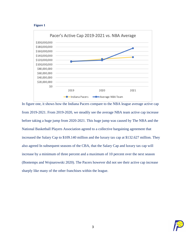#### **Figure 1**



In figure one, it shows how the Indiana Pacers compare to the NBA league average active cap from 2019-2021. From 2019-2020, we steadily see the average NBA team active cap increase before taking a huge jump from 2020-2021. This huge jump was caused by The NBA and the National Basketball Players Association agreed to a collective bargaining agreement that increased the Salary Cap to \$109.140 million and the luxury tax cap at \$132.627 million. They also agreed In subsequent seasons of the CBA, that the Salary Cap and luxury tax cap will increase by a minimum of three percent and a maximum of 10 percent over the next season (Bontemps and Wojnarowski 2020). The Pacers however did not see their active cap increase sharply like many of the other franchises within the league.

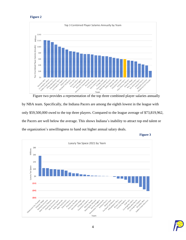### **Figure 2**



Figure two provides a representation of the top three combined player salaries annually by NBA team. Specifically, the Indiana Pacers are among the eighth lowest in the league with only \$59,500,000 owed to the top three players. Compared to the league average of \$73,819,962, the Pacers are well below the average. This shows Indiana's inability to attract top end talent or the organization's unwillingness to hand out higher annual salary deals.



**Figure 3**

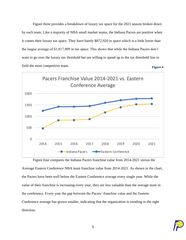Figure three provides a breakdown of luxury tax space for the 2021 season broken down by each team. Like a majority of NBA small market teams, the Indiana Pacers are positive when it comes their luxury tax space. They have barely \$872,920 in space which is a little lower than the league average of \$1,817,909 in tax space. This shows that while the Indiana Pacers don't want to go over the luxury tax threshold but are willing to spend up to the tax threshold line to field the most competitive team. **Figure 4**



Figure four compares the Indiana Pacers franchise value from 2014-2021 versus the Average Eastern Conference NBA team franchise value from 2014-2021. As shown in the chart, the Pacers have been well below the Eastern Conference average every single year. While the value of their franchise is increasing every year, they are less valuable than the average team in the conference. Every year the gap between the Pacers' franchise value and the Eastern Conference average has grown smaller, indicating that the organization is trending in the right direction.

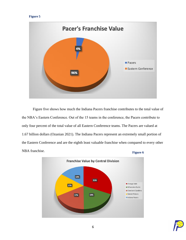# **Figure 5**



Figure five shows how much the Indiana Pacers franchise contributes to the total value of the NBA's Eastern Conference. Out of the 15 teams in the conference, the Pacers contribute to only four percent of the total value of all Eastern Conference teams. The Pacers are valued at 1.67 billion dollars (Ozanian 2021). The Indiana Pacers represent an extremely small portion of the Eastern Conference and are the eighth least valuable franchise when compared to every other NBA franchise. **Figure 6**



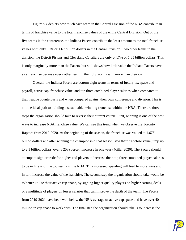Figure six depicts how much each team in the Central Division of the NBA contribute in terms of franchise value to the total franchise values of the entire Central Division. Out of the five teams in the conference, the Indiana Pacers contribute the least amount to the total franchise values with only 16% or 1.67 billion dollars in the Central Division. Two other teams in the division, the Detroit Pistons and Cleveland Cavaliers are only at 17% or 1.65 billion dollars. This is only marginally more than the Pacers, but still shows how little value the Indiana Pacers have as a franchise because every other team in their division is with more than their own.

Overall, the Indiana Pacers are bottom eight teams in terms of luxury tax space and payroll, active cap, franchise value, and top three combined player salaries when compared to their league counterparts and when compared against their own conference and division. This is not the ideal path to building a sustainable, winning franchise within the NBA. There are three steps the organization should take to reverse their current course. First, winning is one of the best ways to increase NBA franchise value. We can see this trend when we observe the Toronto Raptors from 2019-2020. At the beginning of the season, the franchise was valued at 1.67*5*  billion dollars and after winning the championship that season, saw their franchise value jump up to 2.1 billion dollars, over a 25% percent increase in one year (Miller 2020). The Pacers should attempt to sign or trade for higher end players to increase their top three combined player salaries to be in line with the top teams in the NBA. This increased spending will lead to more wins and in turn increase the value of the franchise. The second step the organization should take would be to better utilize their active cap space, by signing higher quality players on higher earning deals or a multitude of players on lesser salaries that can improve the depth of the team. The Pacers from 2019-2021 have been well below the NBA average of active cap space and have over 40 million in cap space to work with. The final step the organization should take is to increase the

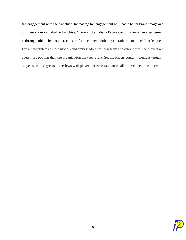fan engagement with the franchise. Increasing fan engagement will lead a better brand image and ultimately a more valuable franchise. One way the Indiana Pacers could increase fan engagement is through athlete led content. Fans prefer to connect with players rather than the club or league. Fans view athletes as role models and ambassadors for their team and often times, the players are even more popular than the organization they represent. So, the Pacers could implement virtual player meet and greets, interviews with players, or even fan parties all to leverage athlete power.